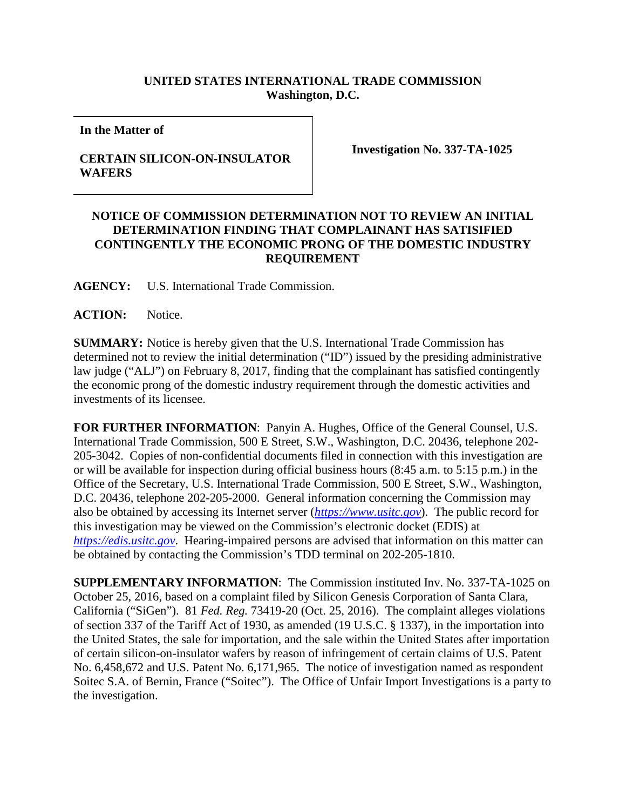## **UNITED STATES INTERNATIONAL TRADE COMMISSION Washington, D.C.**

**In the Matter of**

## **CERTAIN SILICON-ON-INSULATOR WAFERS**

**Investigation No. 337-TA-1025**

## **NOTICE OF COMMISSION DETERMINATION NOT TO REVIEW AN INITIAL DETERMINATION FINDING THAT COMPLAINANT HAS SATISIFIED CONTINGENTLY THE ECONOMIC PRONG OF THE DOMESTIC INDUSTRY REQUIREMENT**

**AGENCY:** U.S. International Trade Commission.

ACTION: Notice.

**SUMMARY:** Notice is hereby given that the U.S. International Trade Commission has determined not to review the initial determination ("ID") issued by the presiding administrative law judge ("ALJ") on February 8, 2017, finding that the complainant has satisfied contingently the economic prong of the domestic industry requirement through the domestic activities and investments of its licensee.

**FOR FURTHER INFORMATION**: Panyin A. Hughes, Office of the General Counsel, U.S. International Trade Commission, 500 E Street, S.W., Washington, D.C. 20436, telephone 202- 205-3042. Copies of non-confidential documents filed in connection with this investigation are or will be available for inspection during official business hours (8:45 a.m. to 5:15 p.m.) in the Office of the Secretary, U.S. International Trade Commission, 500 E Street, S.W., Washington, D.C. 20436, telephone 202-205-2000. General information concerning the Commission may also be obtained by accessing its Internet server (*[https://www.usitc.gov](https://www.usitc.gov/)*). The public record for this investigation may be viewed on the Commission's electronic docket (EDIS) at *[https://edis.usitc.gov](https://edis.usitc.gov/)*. Hearing-impaired persons are advised that information on this matter can be obtained by contacting the Commission's TDD terminal on 202-205-1810.

**SUPPLEMENTARY INFORMATION**: The Commission instituted Inv. No. 337-TA-1025 on October 25, 2016, based on a complaint filed by Silicon Genesis Corporation of Santa Clara, California ("SiGen"). 81 *Fed. Reg.* 73419-20 (Oct. 25, 2016). The complaint alleges violations of section 337 of the Tariff Act of 1930, as amended (19 U.S.C. § 1337), in the importation into the United States, the sale for importation, and the sale within the United States after importation of certain silicon-on-insulator wafers by reason of infringement of certain claims of U.S. Patent No. 6,458,672 and U.S. Patent No. 6,171,965. The notice of investigation named as respondent Soitec S.A. of Bernin, France ("Soitec"). The Office of Unfair Import Investigations is a party to the investigation.